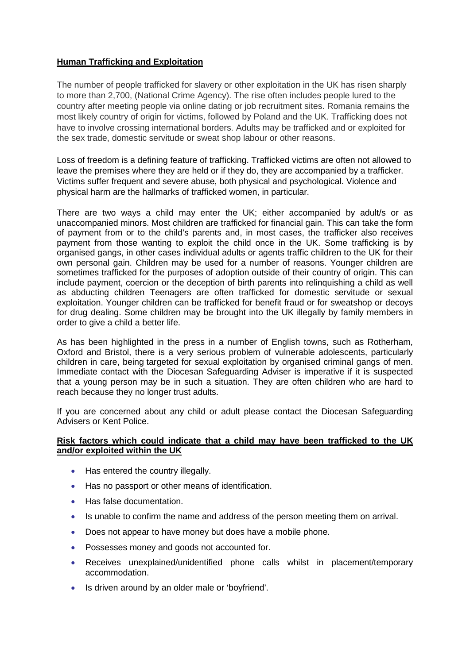## **Human Trafficking and Exploitation**

The number of people trafficked for slavery or other exploitation in the UK has risen sharply to more than 2,700, (National Crime Agency). The rise often includes people lured to the country after meeting people via online dating or job recruitment sites. Romania remains the most likely country of origin for victims, followed by Poland and the UK. Trafficking does not have to involve crossing international borders. Adults may be trafficked and or exploited for the sex trade, domestic servitude or sweat shop labour or other reasons.

Loss of freedom is a defining feature of trafficking. Trafficked victims are often not allowed to leave the premises where they are held or if they do, they are accompanied by a trafficker. Victims suffer frequent and severe abuse, both physical and psychological. Violence and physical harm are the hallmarks of trafficked women, in particular.

There are two ways a child may enter the UK; either accompanied by adult/s or as unaccompanied minors. Most children are trafficked for financial gain. This can take the form of payment from or to the child's parents and, in most cases, the trafficker also receives payment from those wanting to exploit the child once in the UK. Some trafficking is by organised gangs, in other cases individual adults or agents traffic children to the UK for their own personal gain. Children may be used for a number of reasons. Younger children are sometimes trafficked for the purposes of adoption outside of their country of origin. This can include payment, coercion or the deception of birth parents into relinquishing a child as well as abducting children Teenagers are often trafficked for domestic servitude or sexual exploitation. Younger children can be trafficked for benefit fraud or for sweatshop or decoys for drug dealing. Some children may be brought into the UK illegally by family members in order to give a child a better life.

As has been highlighted in the press in a number of English towns, such as Rotherham, Oxford and Bristol, there is a very serious problem of vulnerable adolescents, particularly children in care, being targeted for sexual exploitation by organised criminal gangs of men. Immediate contact with the Diocesan Safeguarding Adviser is imperative if it is suspected that a young person may be in such a situation. They are often children who are hard to reach because they no longer trust adults.

If you are concerned about any child or adult please contact the Diocesan Safeguarding Advisers or Kent Police.

## **Risk factors which could indicate that a child may have been trafficked to the UK and/or exploited within the UK**

- Has entered the country illegally.
- Has no passport or other means of identification.
- Has false documentation.
- Is unable to confirm the name and address of the person meeting them on arrival.
- Does not appear to have money but does have a mobile phone.
- Possesses money and goods not accounted for.
- Receives unexplained/unidentified phone calls whilst in placement/temporary accommodation.
- Is driven around by an older male or 'boyfriend'.